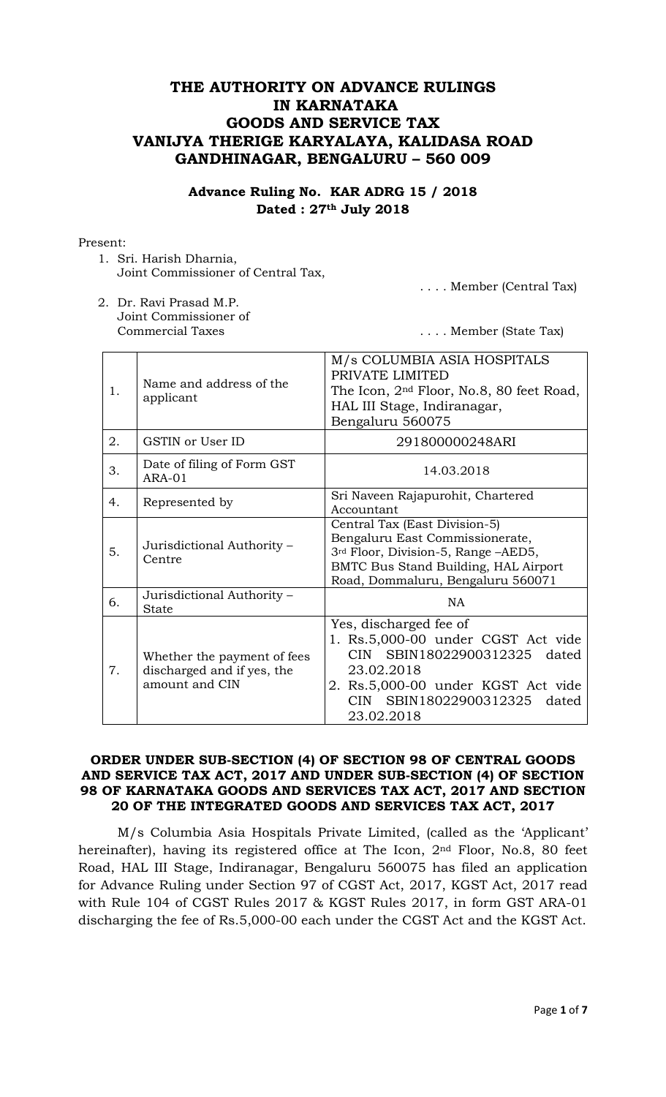# **THE AUTHORITY ON ADVANCE RULINGS IN KARNATAKA GOODS AND SERVICE TAX VANIJYA THERIGE KARYALAYA, KALIDASA ROAD GANDHINAGAR, BENGALURU – 560 009**

**Advance Ruling No. KAR ADRG 15 / 2018 Dated : 27th July 2018**

#### Present:

- 1. Sri. Harish Dharnia, Joint Commissioner of Central Tax,
- . . . . Member (Central Tax)
- 2. Dr. Ravi Prasad M.P. Joint Commissioner of Commercial Taxes .... Member (State Tax)

| 1. | Name and address of the<br>applicant                                        | M/s COLUMBIA ASIA HOSPITALS<br>PRIVATE LIMITED<br>The Icon, 2 <sup>nd</sup> Floor, No.8, 80 feet Road,<br>HAL III Stage, Indiranagar,<br>Bengaluru 560075                                              |
|----|-----------------------------------------------------------------------------|--------------------------------------------------------------------------------------------------------------------------------------------------------------------------------------------------------|
| 2. | GSTIN or User ID                                                            | 291800000248ARI                                                                                                                                                                                        |
| 3. | Date of filing of Form GST<br>ARA-01                                        | 14.03.2018                                                                                                                                                                                             |
| 4. | Represented by                                                              | Sri Naveen Rajapurohit, Chartered<br>Accountant                                                                                                                                                        |
| 5. | Jurisdictional Authority -<br>Centre                                        | Central Tax (East Division-5)<br>Bengaluru East Commissionerate,<br>3rd Floor, Division-5, Range -AED5,<br>BMTC Bus Stand Building, HAL Airport<br>Road, Dommaluru, Bengaluru 560071                   |
| 6. | Jurisdictional Authority -<br><b>State</b>                                  | <b>NA</b>                                                                                                                                                                                              |
| 7. | Whether the payment of fees<br>discharged and if yes, the<br>amount and CIN | Yes, discharged fee of<br>1. Rs.5,000-00 under CGST Act vide<br>CIN SBIN18022900312325 dated<br>23.02.2018<br>2. Rs.5,000-00 under KGST Act vide<br>SBIN18022900312325<br>CIN –<br>dated<br>23.02.2018 |

#### **ORDER UNDER SUB-SECTION (4) OF SECTION 98 OF CENTRAL GOODS AND SERVICE TAX ACT, 2017 AND UNDER SUB-SECTION (4) OF SECTION 98 OF KARNATAKA GOODS AND SERVICES TAX ACT, 2017 AND SECTION 20 OF THE INTEGRATED GOODS AND SERVICES TAX ACT, 2017**

M/s Columbia Asia Hospitals Private Limited, (called as the "Applicant" hereinafter), having its registered office at The Icon, 2nd Floor, No.8, 80 feet Road, HAL III Stage, Indiranagar, Bengaluru 560075 has filed an application for Advance Ruling under Section 97 of CGST Act, 2017, KGST Act, 2017 read with Rule 104 of CGST Rules 2017 & KGST Rules 2017, in form GST ARA-01 discharging the fee of Rs.5,000-00 each under the CGST Act and the KGST Act.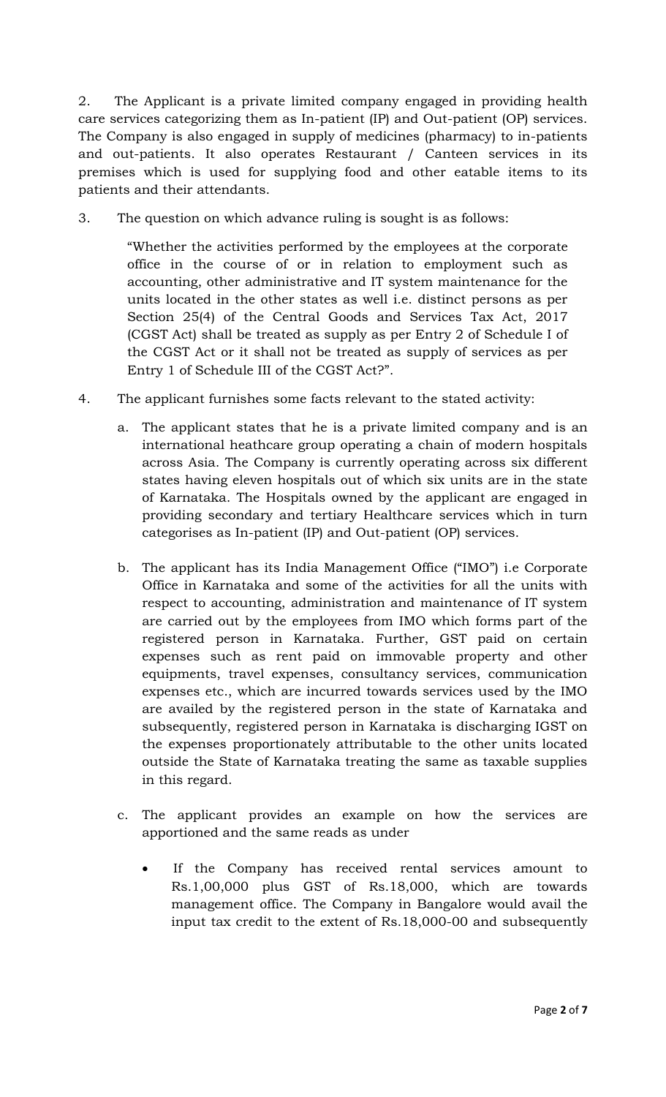2. The Applicant is a private limited company engaged in providing health care services categorizing them as In-patient (IP) and Out-patient (OP) services. The Company is also engaged in supply of medicines (pharmacy) to in-patients and out-patients. It also operates Restaurant / Canteen services in its premises which is used for supplying food and other eatable items to its patients and their attendants.

3. The question on which advance ruling is sought is as follows:

"Whether the activities performed by the employees at the corporate office in the course of or in relation to employment such as accounting, other administrative and IT system maintenance for the units located in the other states as well i.e. distinct persons as per Section 25(4) of the Central Goods and Services Tax Act, 2017 (CGST Act) shall be treated as supply as per Entry 2 of Schedule I of the CGST Act or it shall not be treated as supply of services as per Entry 1 of Schedule III of the CGST Act?".

- 4. The applicant furnishes some facts relevant to the stated activity:
	- a. The applicant states that he is a private limited company and is an international heathcare group operating a chain of modern hospitals across Asia. The Company is currently operating across six different states having eleven hospitals out of which six units are in the state of Karnataka. The Hospitals owned by the applicant are engaged in providing secondary and tertiary Healthcare services which in turn categorises as In-patient (IP) and Out-patient (OP) services.
	- b. The applicant has its India Management Office ("IMO") i.e Corporate Office in Karnataka and some of the activities for all the units with respect to accounting, administration and maintenance of IT system are carried out by the employees from IMO which forms part of the registered person in Karnataka. Further, GST paid on certain expenses such as rent paid on immovable property and other equipments, travel expenses, consultancy services, communication expenses etc., which are incurred towards services used by the IMO are availed by the registered person in the state of Karnataka and subsequently, registered person in Karnataka is discharging IGST on the expenses proportionately attributable to the other units located outside the State of Karnataka treating the same as taxable supplies in this regard.
	- c. The applicant provides an example on how the services are apportioned and the same reads as under
		- If the Company has received rental services amount to Rs.1,00,000 plus GST of Rs.18,000, which are towards management office. The Company in Bangalore would avail the input tax credit to the extent of Rs.18,000-00 and subsequently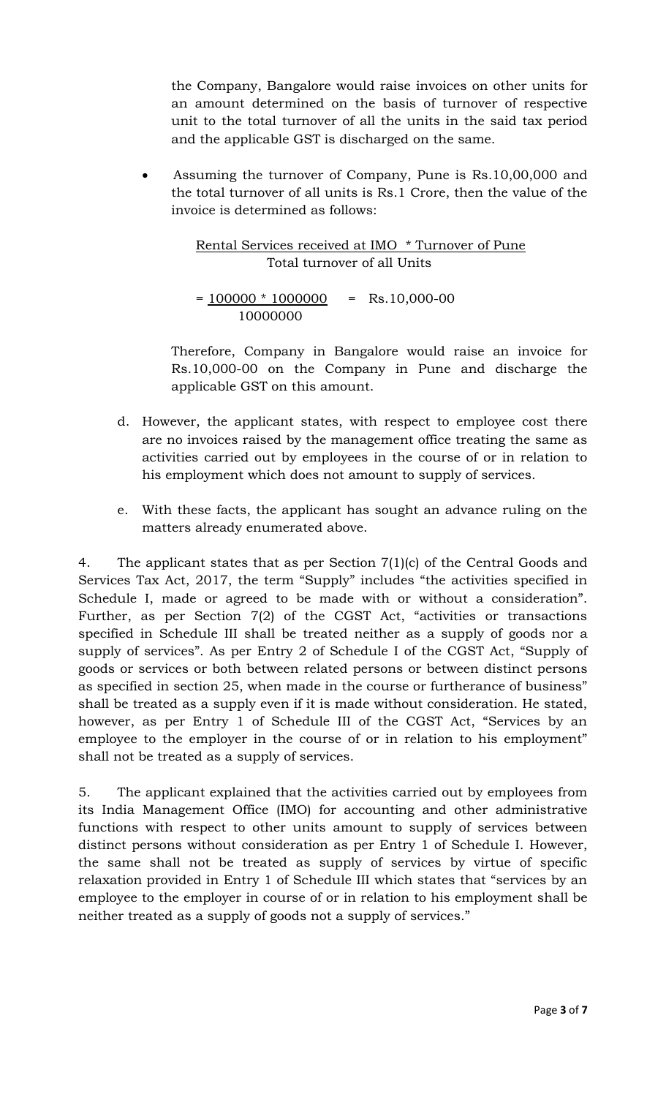the Company, Bangalore would raise invoices on other units for an amount determined on the basis of turnover of respective unit to the total turnover of all the units in the said tax period and the applicable GST is discharged on the same.

 Assuming the turnover of Company, Pune is Rs.10,00,000 and the total turnover of all units is Rs.1 Crore, then the value of the invoice is determined as follows:

> Rental Services received at IMO \* Turnover of Pune Total turnover of all Units

 $= 100000 * 1000000 =$  Rs.10,000-00 10000000

Therefore, Company in Bangalore would raise an invoice for Rs.10,000-00 on the Company in Pune and discharge the applicable GST on this amount.

- d. However, the applicant states, with respect to employee cost there are no invoices raised by the management office treating the same as activities carried out by employees in the course of or in relation to his employment which does not amount to supply of services.
- e. With these facts, the applicant has sought an advance ruling on the matters already enumerated above.

4. The applicant states that as per Section 7(1)(c) of the Central Goods and Services Tax Act, 2017, the term "Supply" includes "the activities specified in Schedule I, made or agreed to be made with or without a consideration". Further, as per Section 7(2) of the CGST Act, "activities or transactions specified in Schedule III shall be treated neither as a supply of goods nor a supply of services". As per Entry 2 of Schedule I of the CGST Act, "Supply of goods or services or both between related persons or between distinct persons as specified in section 25, when made in the course or furtherance of business" shall be treated as a supply even if it is made without consideration. He stated, however, as per Entry 1 of Schedule III of the CGST Act, "Services by an employee to the employer in the course of or in relation to his employment" shall not be treated as a supply of services.

5. The applicant explained that the activities carried out by employees from its India Management Office (IMO) for accounting and other administrative functions with respect to other units amount to supply of services between distinct persons without consideration as per Entry 1 of Schedule I. However, the same shall not be treated as supply of services by virtue of specific relaxation provided in Entry 1 of Schedule III which states that "services by an employee to the employer in course of or in relation to his employment shall be neither treated as a supply of goods not a supply of services."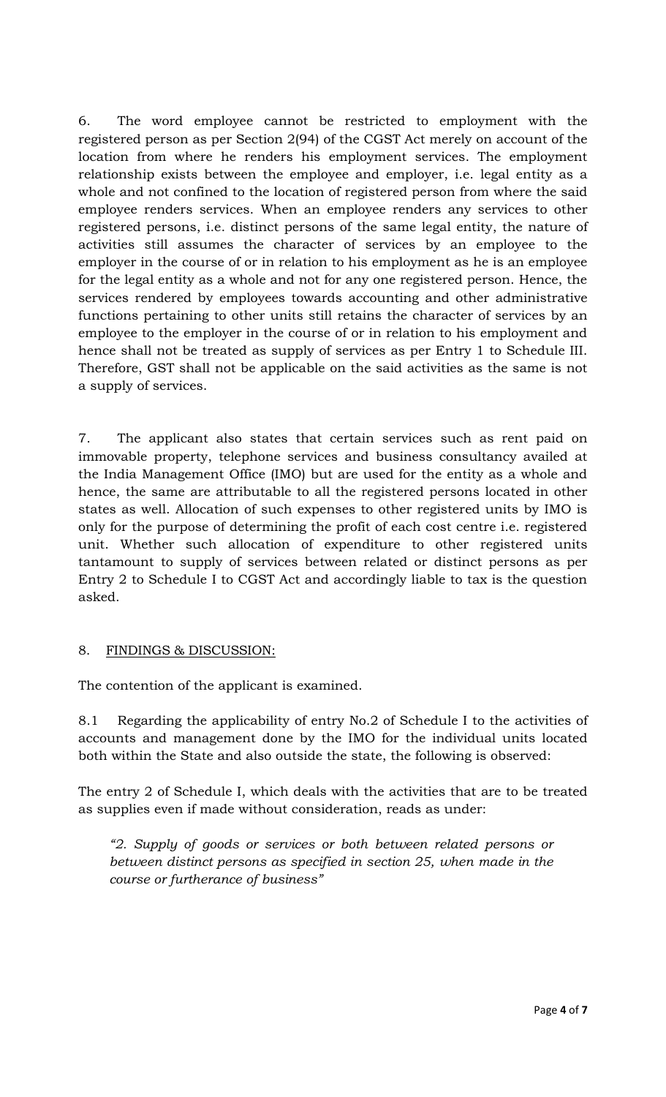6. The word employee cannot be restricted to employment with the registered person as per Section 2(94) of the CGST Act merely on account of the location from where he renders his employment services. The employment relationship exists between the employee and employer, i.e. legal entity as a whole and not confined to the location of registered person from where the said employee renders services. When an employee renders any services to other registered persons, i.e. distinct persons of the same legal entity, the nature of activities still assumes the character of services by an employee to the employer in the course of or in relation to his employment as he is an employee for the legal entity as a whole and not for any one registered person. Hence, the services rendered by employees towards accounting and other administrative functions pertaining to other units still retains the character of services by an employee to the employer in the course of or in relation to his employment and hence shall not be treated as supply of services as per Entry 1 to Schedule III. Therefore, GST shall not be applicable on the said activities as the same is not a supply of services.

7. The applicant also states that certain services such as rent paid on immovable property, telephone services and business consultancy availed at the India Management Office (IMO) but are used for the entity as a whole and hence, the same are attributable to all the registered persons located in other states as well. Allocation of such expenses to other registered units by IMO is only for the purpose of determining the profit of each cost centre i.e. registered unit. Whether such allocation of expenditure to other registered units tantamount to supply of services between related or distinct persons as per Entry 2 to Schedule I to CGST Act and accordingly liable to tax is the question asked.

## 8. FINDINGS & DISCUSSION:

The contention of the applicant is examined.

8.1 Regarding the applicability of entry No.2 of Schedule I to the activities of accounts and management done by the IMO for the individual units located both within the State and also outside the state, the following is observed:

The entry 2 of Schedule I, which deals with the activities that are to be treated as supplies even if made without consideration, reads as under:

*"2. Supply of goods or services or both between related persons or between distinct persons as specified in section 25, when made in the course or furtherance of business"*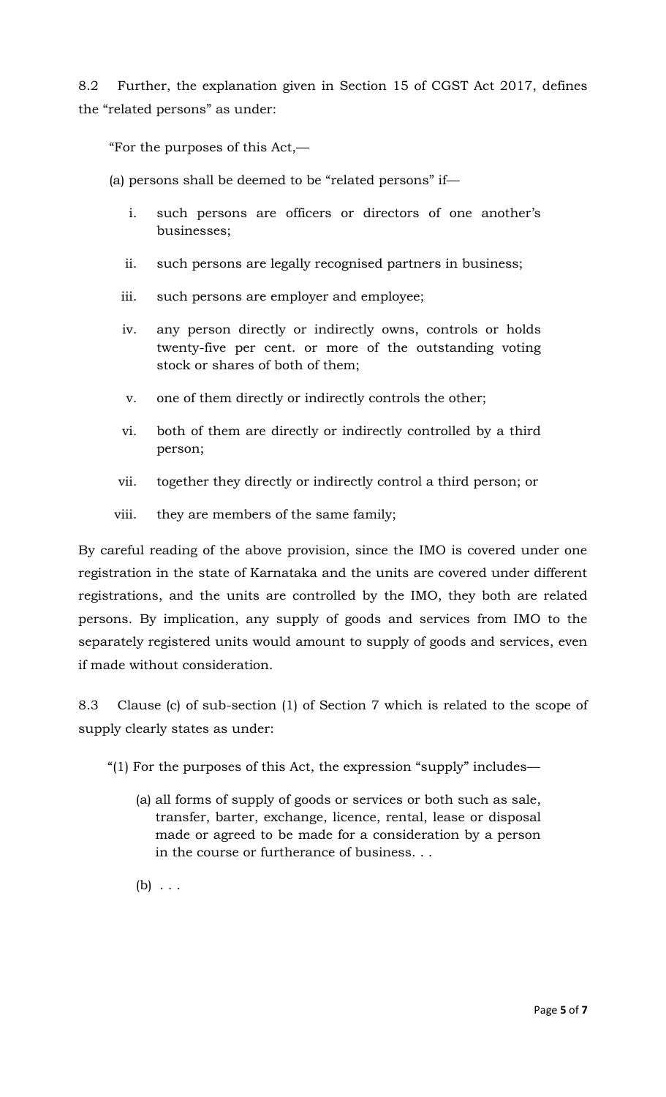8.2 Further, the explanation given in Section 15 of CGST Act 2017, defines the "related persons" as under:

"For the purposes of this Act,––

(a) persons shall be deemed to be "related persons" if—

- i. such persons are officers or directors of one another"s businesses;
- ii. such persons are legally recognised partners in business;
- iii. such persons are employer and employee;
- iv. any person directly or indirectly owns, controls or holds twenty-five per cent. or more of the outstanding voting stock or shares of both of them;
- v. one of them directly or indirectly controls the other;
- vi. both of them are directly or indirectly controlled by a third person;
- vii. together they directly or indirectly control a third person; or
- viii. they are members of the same family;

By careful reading of the above provision, since the IMO is covered under one registration in the state of Karnataka and the units are covered under different registrations, and the units are controlled by the IMO, they both are related persons. By implication, any supply of goods and services from IMO to the separately registered units would amount to supply of goods and services, even if made without consideration.

8.3 Clause (c) of sub-section (1) of Section 7 which is related to the scope of supply clearly states as under:

- "(1) For the purposes of this Act, the expression "supply" includes––
	- (a) all forms of supply of goods or services or both such as sale, transfer, barter, exchange, licence, rental, lease or disposal made or agreed to be made for a consideration by a person in the course or furtherance of business. . .

 $(b) \ldots$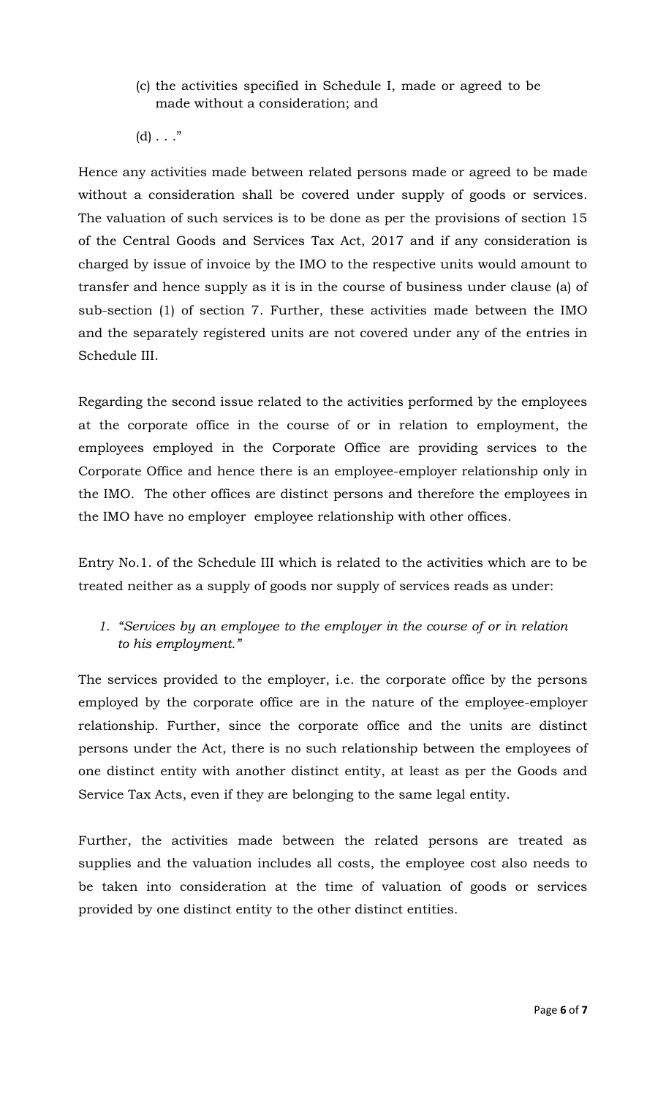- (c) the activities specified in Schedule I, made or agreed to be made without a consideration; and
- $(d) \ldots$ "

Hence any activities made between related persons made or agreed to be made without a consideration shall be covered under supply of goods or services. The valuation of such services is to be done as per the provisions of section 15 of the Central Goods and Services Tax Act, 2017 and if any consideration is charged by issue of invoice by the IMO to the respective units would amount to transfer and hence supply as it is in the course of business under clause (a) of sub-section (1) of section 7. Further, these activities made between the IMO and the separately registered units are not covered under any of the entries in Schedule III.

Regarding the second issue related to the activities performed by the employees at the corporate office in the course of or in relation to employment, the employees employed in the Corporate Office are providing services to the Corporate Office and hence there is an employee-employer relationship only in the IMO. The other offices are distinct persons and therefore the employees in the IMO have no employer employee relationship with other offices.

Entry No.1. of the Schedule III which is related to the activities which are to be treated neither as a supply of goods nor supply of services reads as under:

*1. "Services by an employee to the employer in the course of or in relation to his employment."*

The services provided to the employer, i.e. the corporate office by the persons employed by the corporate office are in the nature of the employee-employer relationship. Further, since the corporate office and the units are distinct persons under the Act, there is no such relationship between the employees of one distinct entity with another distinct entity, at least as per the Goods and Service Tax Acts, even if they are belonging to the same legal entity.

Further, the activities made between the related persons are treated as supplies and the valuation includes all costs, the employee cost also needs to be taken into consideration at the time of valuation of goods or services provided by one distinct entity to the other distinct entities.